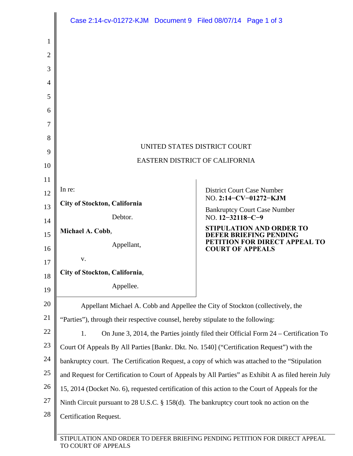|          | Case 2:14-cv-01272-KJM  Document 9  Filed 08/07/14  Page 1 of 3                                     |                                                                 |  |
|----------|-----------------------------------------------------------------------------------------------------|-----------------------------------------------------------------|--|
| 1        |                                                                                                     |                                                                 |  |
| 2        |                                                                                                     |                                                                 |  |
| 3        |                                                                                                     |                                                                 |  |
| 4        |                                                                                                     |                                                                 |  |
| 5        |                                                                                                     |                                                                 |  |
| 6        |                                                                                                     |                                                                 |  |
| 7        |                                                                                                     |                                                                 |  |
| 8        |                                                                                                     |                                                                 |  |
| 9        | UNITED STATES DISTRICT COURT                                                                        |                                                                 |  |
| 10       | EASTERN DISTRICT OF CALIFORNIA                                                                      |                                                                 |  |
| 11       | In re:                                                                                              |                                                                 |  |
| 12       | City of Stockton, California                                                                        | <b>District Court Case Number</b><br>NO. 2:14-CV-01272-KJM      |  |
| 13       | Debtor.                                                                                             | <b>Bankruptcy Court Case Number</b><br>NO. $12 - 32118 - C - 9$ |  |
| 14       | Michael A. Cobb,                                                                                    | <b>STIPULATION AND ORDER TO</b>                                 |  |
| 15       | Appellant,                                                                                          | <b>DEFER BRIEFING PENDING</b><br>PETITION FOR DIRECT APPEAL TO  |  |
| 16<br>17 | v.                                                                                                  | <b>COURT OF APPEALS</b>                                         |  |
| 18       | City of Stockton, California,                                                                       |                                                                 |  |
| 19       | Appellee.                                                                                           |                                                                 |  |
| 20       | Appellant Michael A. Cobb and Appellee the City of Stockton (collectively, the                      |                                                                 |  |
| 21       | "Parties"), through their respective counsel, hereby stipulate to the following:                    |                                                                 |  |
| 22       | On June 3, 2014, the Parties jointly filed their Official Form 24 – Certification To<br>1.          |                                                                 |  |
| 23       | Court Of Appeals By All Parties [Bankr. Dkt. No. 1540] ("Certification Request") with the           |                                                                 |  |
| 24       | bankruptcy court. The Certification Request, a copy of which was attached to the "Stipulation"      |                                                                 |  |
| 25       | and Request for Certification to Court of Appeals by All Parties" as Exhibit A as filed herein July |                                                                 |  |
| 26       | 15, 2014 (Docket No. 6), requested certification of this action to the Court of Appeals for the     |                                                                 |  |
| 27       | Ninth Circuit pursuant to 28 U.S.C. § 158(d). The bankruptcy court took no action on the            |                                                                 |  |
| 28       | <b>Certification Request.</b>                                                                       |                                                                 |  |
|          |                                                                                                     |                                                                 |  |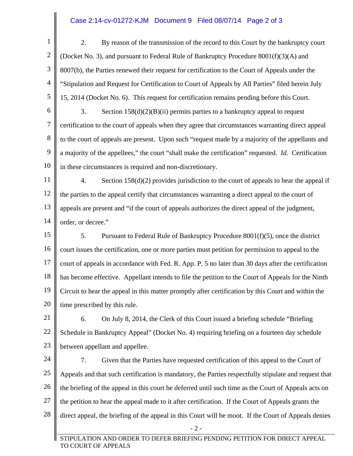## Case 2:14-cv-01272-KJM Document 9 Filed 08/07/14 Page 2 of 3

 - 2 - STIPULATION AND ORDER TO DEFER BRIEFING PENDING PETITION FOR DIRECT APPEAL TO COURT OF APPEALS 1 2 3 4 5 6 7 8 9 10 11 12 13 14 15 16 17 18 19 20 21 22 23 24 25 26 27 28 2. By reason of the transmission of the record to this Court by the bankruptcy court (Docket No. 3), and pursuant to Federal Rule of Bankruptcy Procedure 8001(f)(3)(A) and 8007(b), the Parties renewed their request for certification to the Court of Appeals under the "Stipulation and Request for Certification to Court of Appeals by All Parties" filed herein July 15, 2014 (Docket No. 6). This request for certification remains pending before this Court. 3. Section 158(d)(2)(B)(ii) permits parties to a bankruptcy appeal to request certification to the court of appeals when they agree that circumstances warranting direct appeal to the court of appeals are present. Upon such "request made by a majority of the appellants and a majority of the appellees," the court "shall make the certification" requested. *Id*. Certification in these circumstances is required and non-discretionary. 4. Section 158(d)(2) provides jurisdiction to the court of appeals to hear the appeal if the parties to the appeal certify that circumstances warranting a direct appeal to the court of appeals are present and "if the court of appeals authorizes the direct appeal of the judgment, order, or decree." 5. Pursuant to Federal Rule of Bankruptcy Procedure 8001(f)(5), once the district court issues the certification, one or more parties must petition for permission to appeal to the court of appeals in accordance with Fed. R. App. P. 5 no later than 30 days after the certification has become effective. Appellant intends to file the petition to the Court of Appeals for the Ninth Circuit to hear the appeal in this matter promptly after certification by this Court and within the time prescribed by this rule. 6. On July 8, 2014, the Clerk of this Court issued a briefing schedule "Briefing Schedule in Bankruptcy Appeal" (Docket No. 4) requiring briefing on a fourteen day schedule between appellant and appellee. 7. Given that the Parties have requested certification of this appeal to the Court of Appeals and that such certification is mandatory, the Parties respectfully stipulate and request that the briefing of the appeal in this court be deferred until such time as the Court of Appeals acts on the petition to hear the appeal made to it after certification. If the Court of Appeals grants the direct appeal, the briefing of the appeal in this Court will be moot. If the Court of Appeals denies